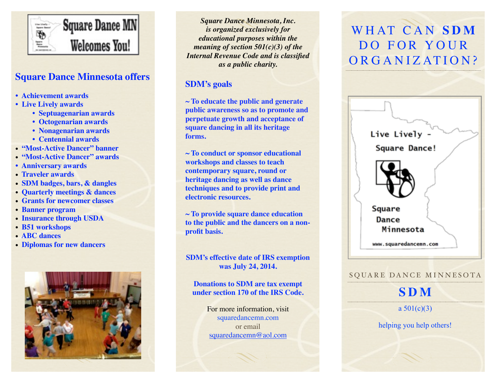

### **Square Dance Minnesota offers**

- **Achievement awards**
- **Live Lively awards**
	- **Septuagenarian awards**
	- **Octogenarian awards**
	- **Nonagenarian awards**
	- **Centennial awards**
- • **"Most-Active Dancer" banner**
- • **"Most-Active Dancer" awards**
- **Anniversary awards**
- • **Traveler awards**
- • **SDM badges, bars, & dangles**
- • **Quarterly meetings & dances**
- • **Grants for newcomer classes**
- • **Banner program**
- • **Insurance through USDA**
- • **B51 workshops**
- • **ABC dances**
- • **Diplomas for new dancers**



*Square Dance Minnesota, Inc. is organized exclusively for educational purposes within the meaning of section 501(c)(3) of the Internal Revenue Code and is classified as a public charity.*

### **SDM's goals**

**~ To educate the public and generate public awareness so as to promote and perpetuate growth and acceptance of square dancing in all its heritage forms.**

**~ To conduct or sponsor educational workshops and classes to teach contemporary square, round or heritage dancing as well as dance techniques and to provide print and electronic resources.**

**~ To provide square dance education to the public and the dancers on a nonprofit basis.**

**SDM's effective date of IRS exemption was July 24, 2014.** 

#### **Donations to SDM are tax exempt under section 170 of the IRS Code.**

For more information, visit squaredancemn.com or email [squaredancemn@aol.com](mailto:squaredancemn@aol.com)

# WHAT CAN **SDM** DO FOR YOUR ORGANIZATION?



#### SQUARE DANCE MINNESOTA

## **SDM**

a  $501(c)(3)$ 

helping you help others!